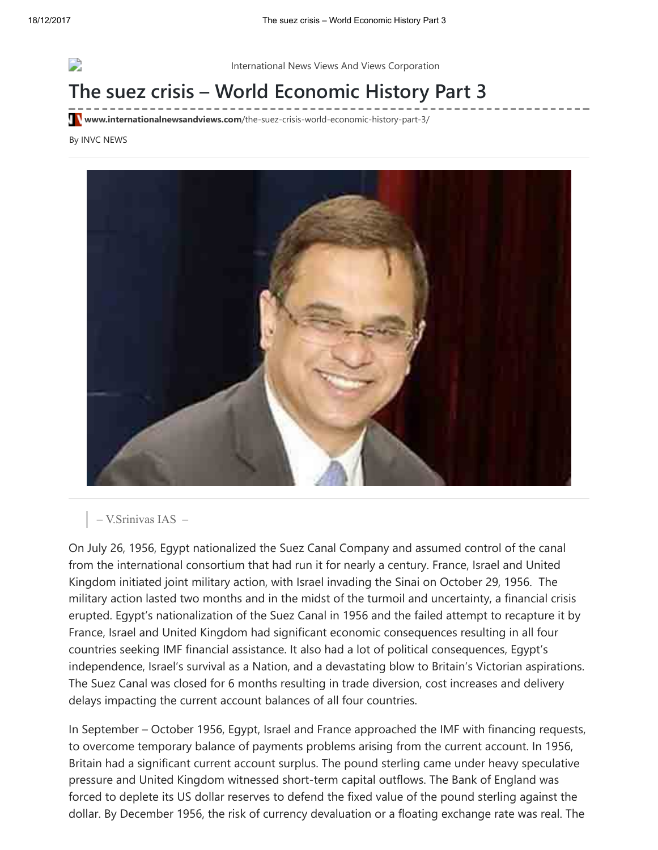

International News Views And Views Corporation

## The suez crisis – World Economic History Part 3

**Www.internationalnewsandviews.com**[/the-suez-crisis-world-economic-history-part-3/](http://www.internationalnewsandviews.com/the-suez-crisis-world-economic-history-part-3/)

By INVC NEWS



– V.Srinivas IAS –

On July 26, 1956, Egypt nationalized the Suez Canal Company and assumed control of the canal from the international consortium that had run it for nearly a century. France, Israel and United Kingdom initiated joint military action, with Israel invading the Sinai on October 29, 1956. The military action lasted two months and in the midst of the turmoil and uncertainty, a financial crisis erupted. Egypt's nationalization of the Suez Canal in 1956 and the failed attempt to recapture it by France, Israel and United Kingdom had significant economic consequences resulting in all four countries seeking IMF financial assistance. It also had a lot of political consequences, Egypt's independence, Israel's survival as a Nation, and a devastating blow to Britain's Victorian aspirations. The Suez Canal was closed for 6 months resulting in trade diversion, cost increases and delivery delays impacting the current account balances of all four countries.

In September – October 1956, Egypt, Israel and France approached the IMF with financing requests, to overcome temporary balance of payments problems arising from the current account. In 1956, Britain had a significant current account surplus. The pound sterling came under heavy speculative pressure and United Kingdom witnessed short-term capital outflows. The Bank of England was forced to deplete its US dollar reserves to defend the fixed value of the pound sterling against the dollar. By December 1956, the risk of currency devaluation or a floating exchange rate was real. The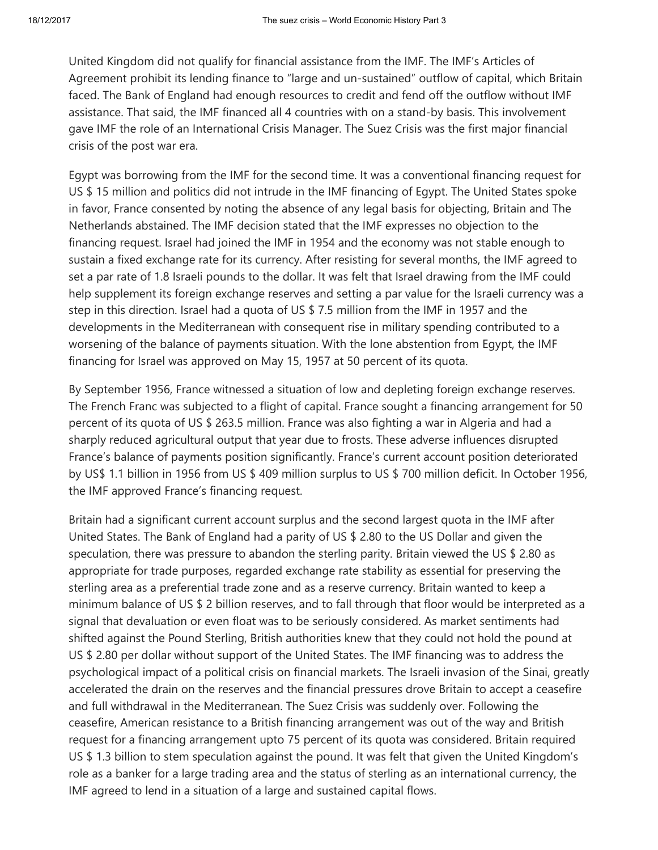United Kingdom did not qualify for financial assistance from the IMF. The IMF's Articles of Agreement prohibit its lending finance to "large and un-sustained" outflow of capital, which Britain faced. The Bank of England had enough resources to credit and fend off the outflow without IMF assistance. That said, the IMF financed all 4 countries with on a stand-by basis. This involvement gave IMF the role of an International Crisis Manager. The Suez Crisis was the first major financial crisis of the post war era.

Egypt was borrowing from the IMF for the second time. It was a conventional financing request for US \$ 15 million and politics did not intrude in the IMF financing of Egypt. The United States spoke in favor, France consented by noting the absence of any legal basis for objecting, Britain and The Netherlands abstained. The IMF decision stated that the IMF expresses no objection to the financing request. Israel had joined the IMF in 1954 and the economy was not stable enough to sustain a fixed exchange rate for its currency. After resisting for several months, the IMF agreed to set a par rate of 1.8 Israeli pounds to the dollar. It was felt that Israel drawing from the IMF could help supplement its foreign exchange reserves and setting a par value for the Israeli currency was a step in this direction. Israel had a quota of US \$ 7.5 million from the IMF in 1957 and the developments in the Mediterranean with consequent rise in military spending contributed to a worsening of the balance of payments situation. With the lone abstention from Egypt, the IMF financing for Israel was approved on May 15, 1957 at 50 percent of its quota.

By September 1956, France witnessed a situation of low and depleting foreign exchange reserves. The French Franc was subjected to a flight of capital. France sought a financing arrangement for 50 percent of its quota of US \$ 263.5 million. France was also fighting a war in Algeria and had a sharply reduced agricultural output that year due to frosts. These adverse influences disrupted France's balance of payments position significantly. France's current account position deteriorated by US\$ 1.1 billion in 1956 from US \$ 409 million surplus to US \$ 700 million deficit. In October 1956, the IMF approved France's financing request.

Britain had a significant current account surplus and the second largest quota in the IMF after United States. The Bank of England had a parity of US \$ 2.80 to the US Dollar and given the speculation, there was pressure to abandon the sterling parity. Britain viewed the US \$ 2.80 as appropriate for trade purposes, regarded exchange rate stability as essential for preserving the sterling area as a preferential trade zone and as a reserve currency. Britain wanted to keep a minimum balance of US \$ 2 billion reserves, and to fall through that floor would be interpreted as a signal that devaluation or even float was to be seriously considered. As market sentiments had shifted against the Pound Sterling, British authorities knew that they could not hold the pound at US \$ 2.80 per dollar without support of the United States. The IMF financing was to address the psychological impact of a political crisis on financial markets. The Israeli invasion of the Sinai, greatly accelerated the drain on the reserves and the financial pressures drove Britain to accept a ceasefire and full withdrawal in the Mediterranean. The Suez Crisis was suddenly over. Following the ceasefire, American resistance to a British financing arrangement was out of the way and British request for a financing arrangement upto 75 percent of its quota was considered. Britain required US \$ 1.3 billion to stem speculation against the pound. It was felt that given the United Kingdom's role as a banker for a large trading area and the status of sterling as an international currency, the IMF agreed to lend in a situation of a large and sustained capital flows.